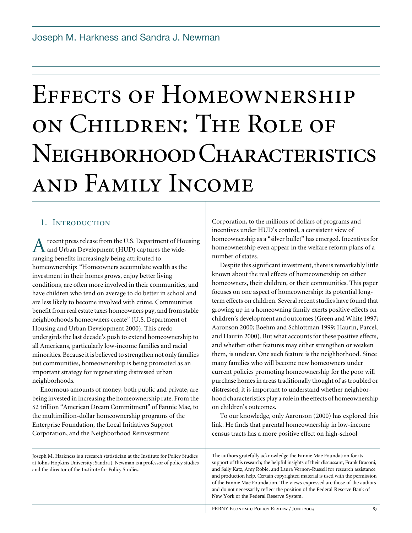# Effects of Homeownership on Children: The Role of Neighborhood Characteristics and Family Income

# 1. Introduction

recent press release from the U.S. Department of Housing and Urban Development (HUD) captures the wide-**A** recent press release from the U.S. Department and Urban Development (HUD) captures tranging benefits increasingly being attributed to homeownership: "Homeowners accumulate wealth as the investment in their homes grows, enjoy better living conditions, are often more involved in their communities, and have children who tend on average to do better in school and are less likely to become involved with crime. Communities benefit from real estate taxes homeowners pay, and from stable neighborhoods homeowners create" (U.S. Department of Housing and Urban Development 2000). This credo undergirds the last decade's push to extend homeownership to all Americans, particularly low-income families and racial minorities. Because it is believed to strengthen not only families but communities, homeownership is being promoted as an important strategy for regenerating distressed urban neighborhoods.

Enormous amounts of money, both public and private, are being invested in increasing the homeownership rate. From the \$2 trillion "American Dream Commitment" of Fannie Mae, to the multimillion-dollar homeownership programs of the Enterprise Foundation, the Local Initiatives Support Corporation, and the Neighborhood Reinvestment

Joseph M. Harkness is a research statistician at the Institute for Policy Studies at Johns Hopkins University; Sandra J. Newman is a professor of policy studies and the director of the Institute for Policy Studies.

Corporation, to the millions of dollars of programs and incentives under HUD's control, a consistent view of homeownership as a "silver bullet" has emerged. Incentives for homeownership even appear in the welfare reform plans of a number of states.

Despite this significant investment, there is remarkably little known about the real effects of homeownership on either homeowners, their children, or their communities. This paper focuses on one aspect of homeownership: its potential longterm effects on children. Several recent studies have found that growing up in a homeowning family exerts positive effects on children's development and outcomes (Green and White 1997; Aaronson 2000; Boehm and Schlottman 1999; Haurin, Parcel, and Haurin 2000). But what accounts for these positive effects, and whether other features may either strengthen or weaken them, is unclear. One such feature is the neighborhood. Since many families who will become new homeowners under current policies promoting homeownership for the poor will purchase homes in areas traditionally thought of as troubled or distressed, it is important to understand whether neighborhood characteristics play a role in the effects of homeownership on children's outcomes.

To our knowledge, only Aaronson (2000) has explored this link. He finds that parental homeownership in low-income census tracts has a more positive effect on high-school

The authors gratefully acknowledge the Fannie Mae Foundation for its support of this research; the helpful insights of their discussant, Frank Braconi; and Sally Katz, Amy Robie, and Laura Vernon-Russell for research assistance and production help. Certain copyrighted material is used with the permission of the Fannie Mae Foundation. The views expressed are those of the authors and do not necessarily reflect the position of the Federal Reserve Bank of New York or the Federal Reserve System.

FRBNY ECONOMIC POLICY REVIEW / JUNE 2003 87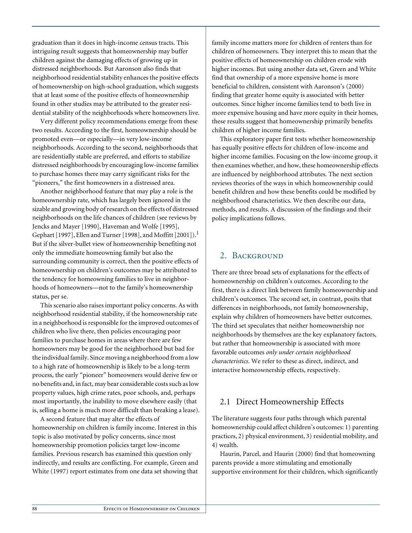graduation than it does in high-income census tracts. This intriguing result suggests that homeownership may buffer children against the damaging effects of growing up in distressed neighborhoods. But Aaronson also finds that neighborhood residential stability enhances the positive effects of homeownership on high-school graduation, which suggests that at least some of the positive effects of homeownership found in other studies may be attributed to the greater residential stability of the neighborhoods where homeowners live.

Very different policy recommendations emerge from these two results. According to the first, homeownership should be promoted even—or especially—in very low-income neighborhoods. According to the second, neighborhoods that are residentially stable are preferred, and efforts to stabilize distressed neighborhoods by encouraging low-income families to purchase homes there may carry significant risks for the "pioneers," the first homeowners in a distressed area.

Another neighborhood feature that may play a role is the homeownership rate, which has largely been ignored in the sizable and growing body of research on the effects of distressed neighborhoods on the life chances of children (see reviews by Jencks and Mayer [1990], Haveman and Wolfe [1995], Gephart [1997], Ellen and Turner [1998], and Moffitt [2001]).<sup>1</sup> But if the silver-bullet view of homeownership benefiting not only the immediate homeowning family but also the surrounding community is correct, then the positive effects of homeownership on children's outcomes may be attributed to the tendency for homeowning families to live in neighborhoods of homeowners—not to the family's homeownership status, per se.

This scenario also raises important policy concerns. As with neighborhood residential stability, if the homeownership rate in a neighborhood is responsible for the improved outcomes of children who live there, then policies encouraging poor families to purchase homes in areas where there are few homeowners may be good for the neighborhood but bad for the individual family. Since moving a neighborhood from a low to a high rate of homeownership is likely to be a long-term process, the early "pioneer" homeowners would derive few or no benefits and, in fact, may bear considerable costs such as low property values, high crime rates, poor schools, and, perhaps most importantly, the inability to move elsewhere easily (that is, selling a home is much more difficult than breaking a lease).

A second feature that may alter the effects of homeownership on children is family income. Interest in this topic is also motivated by policy concerns, since most homeownership promotion policies target low-income families. Previous research has examined this question only indirectly, and results are conflicting. For example, Green and White (1997) report estimates from one data set showing that

family income matters more for children of renters than for children of homeowners. They interpret this to mean that the positive effects of homeownership on children erode with higher incomes. But using another data set, Green and White find that ownership of a more expensive home is more beneficial to children, consistent with Aaronson's (2000) finding that greater home equity is associated with better outcomes. Since higher income families tend to both live in more expensive housing and have more equity in their homes, these results suggest that homeownership primarily benefits children of higher income families.

This exploratory paper first tests whether homeownership has equally positive effects for children of low-income and higher income families. Focusing on the low-income group, it then examines whether, and how, these homeownership effects are influenced by neighborhood attributes. The next section reviews theories of the ways in which homeownership could benefit children and how these benefits could be modified by neighborhood characteristics. We then describe our data, methods, and results. A discussion of the findings and their policy implications follows.

## 2. Background

There are three broad sets of explanations for the effects of homeownership on children's outcomes. According to the first, there is a direct link between family homeownership and children's outcomes. The second set, in contrast, posits that differences in neighborhoods, not family homeownership, explain why children of homeowners have better outcomes. The third set speculates that neither homeownership nor neighborhoods by themselves are the key explanatory factors, but rather that homeownership is associated with more favorable outcomes *only under certain neighborhood characteristics*. We refer to these as direct, indirect, and interactive homeownership effects, respectively.

# 2.1 Direct Homeownership Effects

The literature suggests four paths through which parental homeownership could affect children's outcomes: 1) parenting practices, 2) physical environment, 3) residential mobility, and 4) wealth.

Haurin, Parcel, and Haurin (2000) find that homeowning parents provide a more stimulating and emotionally supportive environment for their children, which significantly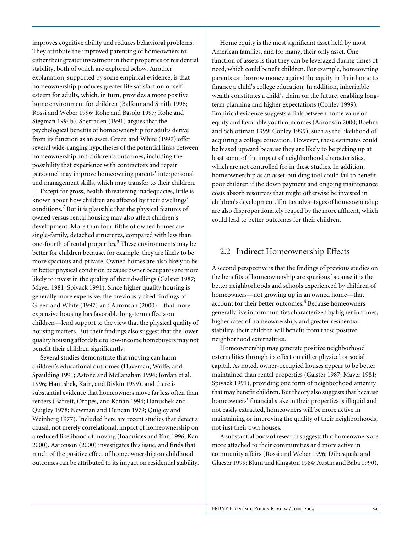improves cognitive ability and reduces behavioral problems. They attribute the improved parenting of homeowners to either their greater investment in their properties or residential stability, both of which are explored below. Another explanation, supported by some empirical evidence, is that homeownership produces greater life satisfaction or selfesteem for adults, which, in turn, provides a more positive home environment for children (Balfour and Smith 1996; Rossi and Weber 1996; Rohe and Basolo 1997; Rohe and Stegman 1994b). Sherraden (1991) argues that the psychological benefits of homeownership for adults derive from its function as an asset. Green and White (1997) offer several wide-ranging hypotheses of the potential links between homeownership and children's outcomes, including the possibility that experience with contractors and repair personnel may improve homeowning parents' interpersonal and management skills, which may transfer to their children.

Except for gross, health-threatening inadequacies, little is known about how children are affected by their dwellings' conditions.<sup>2</sup> But it is plausible that the physical features of owned versus rental housing may also affect children's development. More than four-fifths of owned homes are single-family, detached structures, compared with less than one-fourth of rental properties.<sup>3</sup> These environments may be better for children because, for example, they are likely to be more spacious and private. Owned homes are also likely to be in better physical condition because owner occupants are more likely to invest in the quality of their dwellings (Galster 1987; Mayer 1981; Spivack 1991). Since higher quality housing is generally more expensive, the previously cited findings of Green and White (1997) and Aaronson (2000)—that more expensive housing has favorable long-term effects on children—lend support to the view that the physical quality of housing matters. But their findings also suggest that the lower quality housing affordable to low-income homebuyers may not benefit their children significantly.

Several studies demonstrate that moving can harm children's educational outcomes (Haveman, Wolfe, and Spaulding 1991; Astone and McLanahan 1994; Jordan et al. 1996; Hanushek, Kain, and Rivkin 1999), and there is substantial evidence that homeowners move far less often than renters (Barrett, Oropes, and Kanan 1994; Hanushek and Quigley 1978; Newman and Duncan 1979; Quigley and Weinberg 1977). Included here are recent studies that detect a causal, not merely correlational, impact of homeownership on a reduced likelihood of moving (Ioannides and Kan 1996; Kan 2000). Aaronson (2000) investigates this issue, and finds that much of the positive effect of homeownership on childhood outcomes can be attributed to its impact on residential stability.

Home equity is the most significant asset held by most American families, and for many, their only asset. One function of assets is that they can be leveraged during times of need, which could benefit children. For example, homeowning parents can borrow money against the equity in their home to finance a child's college education. In addition, inheritable wealth constitutes a child's claim on the future, enabling longterm planning and higher expectations (Conley 1999). Empirical evidence suggests a link between home value or equity and favorable youth outcomes (Aaronson 2000; Boehm and Schlottman 1999; Conley 1999), such as the likelihood of acquiring a college education. However, these estimates could be biased upward because they are likely to be picking up at least some of the impact of neighborhood characteristics, which are not controlled for in these studies. In addition, homeownership as an asset-building tool could fail to benefit poor children if the down payment and ongoing maintenance costs absorb resources that might otherwise be invested in children's development. The tax advantages of homeownership are also disproportionately reaped by the more affluent, which could lead to better outcomes for their children.

## 2.2 Indirect Homeownership Effects

A second perspective is that the findings of previous studies on the benefits of homeownership are spurious because it is the better neighborhoods and schools experienced by children of homeowners—not growing up in an owned home—that account for their better outcomes.<sup>4</sup> Because homeowners generally live in communities characterized by higher incomes, higher rates of homeownership, and greater residential stability, their children will benefit from these positive neighborhood externalities.

Homeownership may generate positive neighborhood externalities through its effect on either physical or social capital. As noted, owner-occupied houses appear to be better maintained than rental properties (Galster 1987; Mayer 1981; Spivack 1991), providing one form of neighborhood amenity that may benefit children. But theory also suggests that because homeowners' financial stake in their properties is illiquid and not easily extracted, homeowners will be more active in maintaining or improving the quality of their neighborhoods, not just their own houses.

A substantial body of research suggests that homeowners are more attached to their communities and more active in community affairs (Rossi and Weber 1996; DiPasquale and Glaeser 1999; Blum and Kingston 1984; Austin and Baba 1990).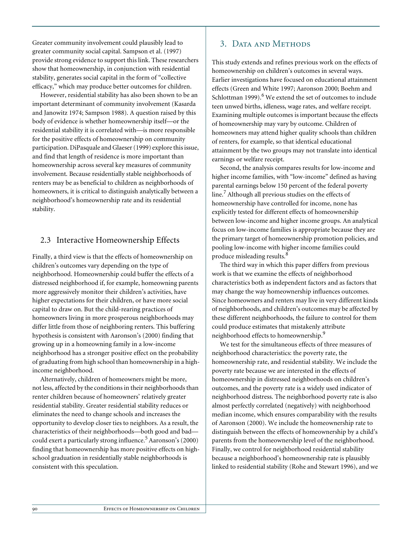Greater community involvement could plausibly lead to greater community social capital. Sampson et al. (1997) provide strong evidence to support this link. These researchers show that homeownership, in conjunction with residential stability, generates social capital in the form of "collective efficacy," which may produce better outcomes for children.

However, residential stability has also been shown to be an important determinant of community involvement (Kasarda and Janowitz 1974; Sampson 1988). A question raised by this body of evidence is whether homeownership itself—or the residential stability it is correlated with—is more responsible for the positive effects of homeownership on community participation. DiPasquale and Glaeser (1999) explore this issue, and find that length of residence is more important than homeownership across several key measures of community involvement. Because residentially stable neighborhoods of renters may be as beneficial to children as neighborhoods of homeowners, it is critical to distinguish analytically between a neighborhood's homeownership rate and its residential stability.

## 2.3 Interactive Homeownership Effects

Finally, a third view is that the effects of homeownership on children's outcomes vary depending on the type of neighborhood. Homeownership could buffer the effects of a distressed neighborhood if, for example, homeowning parents more aggressively monitor their children's activities, have higher expectations for their children, or have more social capital to draw on. But the child-rearing practices of homeowners living in more prosperous neighborhoods may differ little from those of neighboring renters. This buffering hypothesis is consistent with Aaronson's (2000) finding that growing up in a homeowning family in a low-income neighborhood has a stronger positive effect on the probability of graduating from high school than homeownership in a highincome neighborhood.

Alternatively, children of homeowners might be more, not less, affected by the conditions in their neighborhoods than renter children because of homeowners' relatively greater residential stability. Greater residential stability reduces or eliminates the need to change schools and increases the opportunity to develop closer ties to neighbors. As a result, the characteristics of their neighborhoods—both good and bad could exert a particularly strong influence.<sup>5</sup> Aaronson's (2000) finding that homeownership has more positive effects on highschool graduation in residentially stable neighborhoods is consistent with this speculation.

## 3. DATA AND METHODS

This study extends and refines previous work on the effects of homeownership on children's outcomes in several ways. Earlier investigations have focused on educational attainment effects (Green and White 1997; Aaronson 2000; Boehm and Schlottman 1999). $<sup>6</sup>$  We extend the set of outcomes to include</sup> teen unwed births, idleness, wage rates, and welfare receipt. Examining multiple outcomes is important because the effects of homeownership may vary by outcome. Children of homeowners may attend higher quality schools than children of renters, for example, so that identical educational attainment by the two groups may not translate into identical earnings or welfare receipt.

Second, the analysis compares results for low-income and higher income families, with "low-income" defined as having parental earnings below 150 percent of the federal poverty line.<sup>7</sup> Although all previous studies on the effects of homeownership have controlled for income, none has explicitly tested for different effects of homeownership between low-income and higher income groups. An analytical focus on low-income families is appropriate because they are the primary target of homeownership promotion policies, and pooling low-income with higher income families could produce misleading results.<sup>8</sup>

The third way in which this paper differs from previous work is that we examine the effects of neighborhood characteristics both as independent factors and as factors that may change the way homeownership influences outcomes. Since homeowners and renters may live in very different kinds of neighborhoods, and children's outcomes may be affected by these different neighborhoods, the failure to control for them could produce estimates that mistakenly attribute neighborhood effects to homeownership.<sup>9</sup>

We test for the simultaneous effects of three measures of neighborhood characteristics: the poverty rate, the homeownership rate, and residential stability. We include the poverty rate because we are interested in the effects of homeownership in distressed neighborhoods on children's outcomes, and the poverty rate is a widely used indicator of neighborhood distress. The neighborhood poverty rate is also almost perfectly correlated (negatively) with neighborhood median income, which ensures comparability with the results of Aaronson (2000). We include the homeownership rate to distinguish between the effects of homeownership by a child's parents from the homeownership level of the neighborhood. Finally, we control for neighborhood residential stability because a neighborhood's homeownership rate is plausibly linked to residential stability (Rohe and Stewart 1996), and we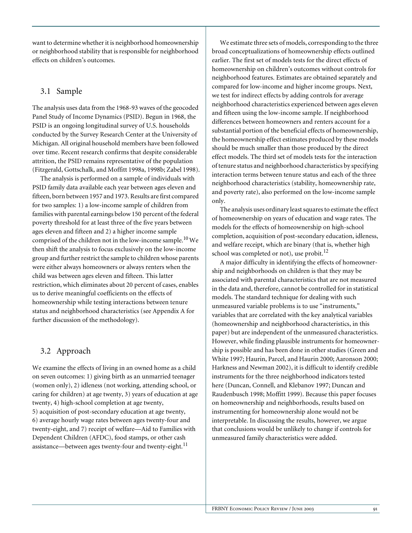want to determine whether it is neighborhood homeownership or neighborhood stability that is responsible for neighborhood effects on children's outcomes.

## 3.1 Sample

The analysis uses data from the 1968-93 waves of the geocoded Panel Study of Income Dynamics (PSID). Begun in 1968, the PSID is an ongoing longitudinal survey of U.S. households conducted by the Survey Research Center at the University of Michigan. All original household members have been followed over time. Recent research confirms that despite considerable attrition, the PSID remains representative of the population (Fitzgerald, Gottschalk, and Moffitt 1998a, 1998b; Zabel 1998).

The analysis is performed on a sample of individuals with PSID family data available each year between ages eleven and fifteen, born between 1957 and 1973. Results are first compared for two samples: 1) a low-income sample of children from families with parental earnings below 150 percent of the federal poverty threshold for at least three of the five years between ages eleven and fifteen and 2) a higher income sample comprised of the children not in the low-income sample.<sup>10</sup> We then shift the analysis to focus exclusively on the low-income group and further restrict the sample to children whose parents were either always homeowners or always renters when the child was between ages eleven and fifteen. This latter restriction, which eliminates about 20 percent of cases, enables us to derive meaningful coefficients on the effects of homeownership while testing interactions between tenure status and neighborhood characteristics (see Appendix A for further discussion of the methodology).

## 3.2 Approach

We examine the effects of living in an owned home as a child on seven outcomes: 1) giving birth as an unmarried teenager (women only), 2) idleness (not working, attending school, or caring for children) at age twenty, 3) years of education at age twenty, 4) high-school completion at age twenty, 5) acquisition of post-secondary education at age twenty,

6) average hourly wage rates between ages twenty-four and twenty-eight, and 7) receipt of welfare—Aid to Families with Dependent Children (AFDC), food stamps, or other cash assistance—between ages twenty-four and twenty-eight.<sup>11</sup>

We estimate three sets of models, corresponding to the three broad conceptualizations of homeownership effects outlined earlier. The first set of models tests for the direct effects of homeownership on children's outcomes without controls for neighborhood features. Estimates are obtained separately and compared for low-income and higher income groups. Next, we test for indirect effects by adding controls for average neighborhood characteristics experienced between ages eleven and fifteen using the low-income sample. If neighborhood differences between homeowners and renters account for a substantial portion of the beneficial effects of homeownership, the homeownership effect estimates produced by these models should be much smaller than those produced by the direct effect models. The third set of models tests for the interaction of tenure status and neighborhood characteristics by specifying interaction terms between tenure status and each of the three neighborhood characteristics (stability, homeownership rate, and poverty rate), also performed on the low-income sample only.

The analysis uses ordinary least squares to estimate the effect of homeownership on years of education and wage rates. The models for the effects of homeownership on high-school completion, acquisition of post-secondary education, idleness, and welfare receipt, which are binary (that is, whether high school was completed or not), use probit. $^{12}$ 

A major difficulty in identifying the effects of homeownership and neighborhoods on children is that they may be associated with parental characteristics that are not measured in the data and, therefore, cannot be controlled for in statistical models. The standard technique for dealing with such unmeasured variable problems is to use "instruments," variables that are correlated with the key analytical variables (homeownership and neighborhood characteristics, in this paper) but are independent of the unmeasured characteristics. However, while finding plausible instruments for homeownership is possible and has been done in other studies (Green and White 1997; Haurin, Parcel, and Haurin 2000; Aaronson 2000; Harkness and Newman 2002), it is difficult to identify credible instruments for the three neighborhood indicators tested here (Duncan, Connell, and Klebanov 1997; Duncan and Raudenbusch 1998; Moffitt 1999). Because this paper focuses on homeownership and neighborhoods, results based on instrumenting for homeownership alone would not be interpretable. In discussing the results, however, we argue that conclusions would be unlikely to change if controls for unmeasured family characteristics were added.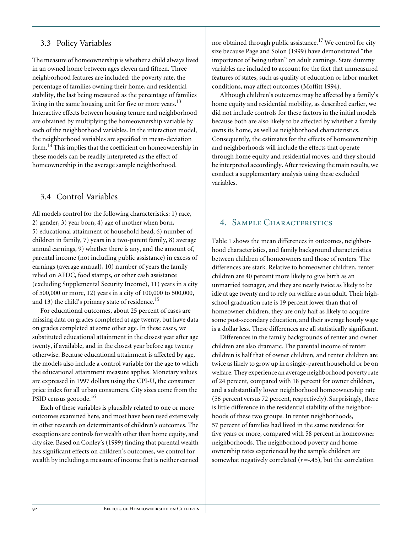## 3.3 Policy Variables

The measure of homeownership is whether a child always lived in an owned home between ages eleven and fifteen. Three neighborhood features are included: the poverty rate, the percentage of families owning their home, and residential stability, the last being measured as the percentage of families living in the same housing unit for five or more years.<sup>13</sup> Interactive effects between housing tenure and neighborhood are obtained by multiplying the homeownership variable by each of the neighborhood variables. In the interaction model, the neighborhood variables are specified in mean-deviation form.14 This implies that the coefficient on homeownership in these models can be readily interpreted as the effect of homeownership in the average sample neighborhood.

## 3.4 Control Variables

All models control for the following characteristics: 1) race, 2) gender, 3) year born, 4) age of mother when born, 5) educational attainment of household head, 6) number of children in family, 7) years in a two-parent family, 8) average annual earnings, 9) whether there is any, and the amount of, parental income (not including public assistance) in excess of earnings (average annual), 10) number of years the family relied on AFDC, food stamps, or other cash assistance (excluding Supplemental Security Income), 11) years in a city of 500,000 or more, 12) years in a city of 100,000 to 500,000, and 13) the child's primary state of residence.<sup>15</sup>

For educational outcomes, about 25 percent of cases are missing data on grades completed at age twenty, but have data on grades completed at some other age. In these cases, we substituted educational attainment in the closest year after age twenty, if available, and in the closest year before age twenty otherwise. Because educational attainment is affected by age, the models also include a control variable for the age to which the educational attainment measure applies. Monetary values are expressed in 1997 dollars using the CPI-U, the consumer price index for all urban consumers. City sizes come from the PSID census geocode.<sup>16</sup>

Each of these variables is plausibly related to one or more outcomes examined here, and most have been used extensively in other research on determinants of children's outcomes. The exceptions are controls for wealth other than home equity, and city size. Based on Conley's (1999) finding that parental wealth has significant effects on children's outcomes, we control for wealth by including a measure of income that is neither earned nor obtained through public assistance.<sup>17</sup> We control for city size because Page and Solon (1999) have demonstrated "the importance of being urban" on adult earnings. State dummy variables are included to account for the fact that unmeasured features of states, such as quality of education or labor market conditions, may affect outcomes (Moffitt 1994).

Although children's outcomes may be affected by a family's home equity and residential mobility, as described earlier, we did not include controls for these factors in the initial models because both are also likely to be affected by whether a family owns its home, as well as neighborhood characteristics. Consequently, the estimates for the effects of homeownership and neighborhoods will include the effects that operate through home equity and residential moves, and they should be interpreted accordingly. After reviewing the main results, we conduct a supplementary analysis using these excluded variables.

## 4. Sample Characteristics

Table 1 shows the mean differences in outcomes, neighborhood characteristics, and family background characteristics between children of homeowners and those of renters. The differences are stark. Relative to homeowner children, renter children are 40 percent more likely to give birth as an unmarried teenager, and they are nearly twice as likely to be idle at age twenty and to rely on welfare as an adult. Their highschool graduation rate is 19 percent lower than that of homeowner children, they are only half as likely to acquire some post-secondary education, and their average hourly wage is a dollar less. These differences are all statistically significant.

Differences in the family backgrounds of renter and owner children are also dramatic. The parental income of renter children is half that of owner children, and renter children are twice as likely to grow up in a single-parent household or be on welfare. They experience an average neighborhood poverty rate of 24 percent, compared with 18 percent for owner children, and a substantially lower neighborhood homeownership rate (56 percent versus 72 percent, respectively). Surprisingly, there is little difference in the residential stability of the neighborhoods of these two groups. In renter neighborhoods, 57 percent of families had lived in the same residence for five years or more, compared with 58 percent in homeowner neighborhoods. The neighborhood poverty and homeownership rates experienced by the sample children are somewhat negatively correlated  $(r = -1.45)$ , but the correlation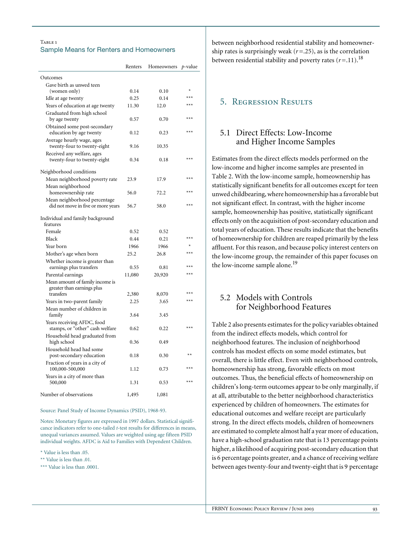### TABLE<sub>1</sub> Sample Means for Renters and Homeowners

|                                                               | Renters | Homeowners | p-value |
|---------------------------------------------------------------|---------|------------|---------|
| Outcomes                                                      |         |            |         |
| Gave birth as unwed teen                                      |         |            |         |
| (women only)                                                  | 0.14    | 0.10       | $\star$ |
| Idle at age twenty                                            | 0.25    | 0.14       | $***$   |
| Years of education at age twenty                              | 11.30   | 12.0       | $***$   |
| Graduated from high school                                    |         |            |         |
| by age twenty                                                 | 0.57    | 0.70       | $***$   |
| Obtained some post-secondary<br>education by age twenty       | 0.12    | 0.23       | $***$   |
| Average hourly wage, ages<br>twenty-four to twenty-eight      | 9.16    | 10.35      |         |
| Received any welfare, ages<br>twenty-four to twenty-eight     | 0.34    | 0.18       | $***$   |
| Neighborhood conditions                                       |         |            |         |
| Mean neighborhood poverty rate                                | 23.9    | 17.9       | $***$   |
| Mean neighborhood                                             |         |            |         |
| homeownership rate                                            | 56.0    | 72.2       | $***$   |
| Mean neighborhood percentage                                  |         |            | $***$   |
| did not move in five or more years                            | 56.7    | 58.0       |         |
| Individual and family background<br>features                  |         |            |         |
| Female                                                        | 0.52    | 0.52       |         |
| Black                                                         | 0.44    | 0.21       | $***$   |
| Year born                                                     | 1966    | 1966       | $\star$ |
| Mother's age when born                                        | 25.2    | 26.8       | $***$   |
| Whether income is greater than<br>earnings plus transfers     | 0.55    | 0.81       | $***$   |
| Parental earnings                                             | 11,080  | 20,920     | $***$   |
| Mean amount of family income is<br>greater than earnings plus |         |            |         |
| transfers                                                     | 2,380   | 8,070      | $***$   |
| Years in two-parent family                                    | 2.25    | 3.65       | $***$   |
| Mean number of children in<br>family                          | 3.64    | 3.45       |         |
| Years receiving AFDC, food<br>stamps, or "other" cash welfare | 0.62    | 0.22       | $***$   |
| Household head graduated from<br>high school                  | 0.36    | 0.49       |         |
| Household head had some<br>post-secondary education           | 0.18    | 0.30       | $**$    |
| Fraction of years in a city of<br>100,000-500,000             | 1.12    | 0.73       | $***$   |
| Years in a city of more than<br>500,000                       | 1.31    | 0.53       | $***$   |
| Number of observations                                        | 1,495   | 1,081      |         |

Source: Panel Study of Income Dynamics (PSID), 1968-93.

Notes: Monetary figures are expressed in 1997 dollars. Statistical significance indicators refer to one-tailed *t*-test results for differences in means, unequal variances assumed. Values are weighted using age fifteen PSID individual weights. AFDC is Aid to Families with Dependent Children.

\* Value is less than .05.

\*\* Value is less than .01.

\*\*\* Value is less than .0001.

between neighborhood residential stability and homeownership rates is surprisingly weak  $(r=.25)$ , as is the correlation between residential stability and poverty rates  $(r=11)$ .<sup>18</sup>

## 5. Regression Results

## 5.1 Direct Effects: Low-Income and Higher Income Samples

Estimates from the direct effects models performed on the low-income and higher income samples are presented in Table 2. With the low-income sample, homeownership has statistically significant benefits for all outcomes except for teen unwed childbearing, where homeownership has a favorable but not significant effect. In contrast, with the higher income sample, homeownership has positive, statistically significant effects only on the acquisition of post-secondary education and total years of education. These results indicate that the benefits of homeownership for children are reaped primarily by the less affluent. For this reason, and because policy interest centers on the low-income group, the remainder of this paper focuses on the low-income sample alone.<sup>19</sup>

# 5.2 Models with Controls for Neighborhood Features

Table 2 also presents estimates for the policy variables obtained from the indirect effects models, which control for neighborhood features. The inclusion of neighborhood controls has modest effects on some model estimates, but overall, there is little effect. Even with neighborhood controls, homeownership has strong, favorable effects on most outcomes. Thus, the beneficial effects of homeownership on children's long-term outcomes appear to be only marginally, if at all, attributable to the better neighborhood characteristics experienced by children of homeowners. The estimates for educational outcomes and welfare receipt are particularly strong. In the direct effects models, children of homeowners are estimated to complete almost half a year more of education, have a high-school graduation rate that is 13 percentage points higher, a likelihood of acquiring post-secondary education that is 6 percentage points greater, and a chance of receiving welfare between ages twenty-four and twenty-eight that is 9 percentage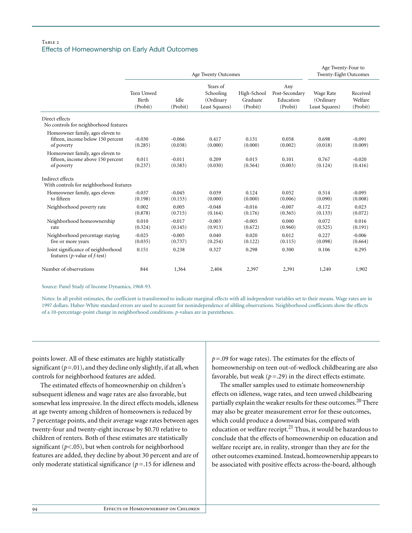## Table 2 Effects of Homeownership on Early Adult Outcomes

|                                                                                     | Age Twenty Outcomes             |                     |                                                      |                                     |                                                | Age Twenty-Four to<br>Twenty-Eight Outcomes |                                 |
|-------------------------------------------------------------------------------------|---------------------------------|---------------------|------------------------------------------------------|-------------------------------------|------------------------------------------------|---------------------------------------------|---------------------------------|
|                                                                                     | Teen Unwed<br>Birth<br>(Probit) | Idle<br>(Probit)    | Years of<br>Schooling<br>(Ordinary<br>Least Squares) | High-School<br>Graduate<br>(Probit) | Any<br>Post-Secondary<br>Education<br>(Probit) | Wage Rate<br>(Ordinary<br>Least Squares)    | Received<br>Welfare<br>(Probit) |
| Direct effects<br>No controls for neighborhood features                             |                                 |                     |                                                      |                                     |                                                |                                             |                                 |
| Homeowner family, ages eleven to<br>fifteen, income below 150 percent<br>of poverty | $-0.030$<br>(0.285)             | $-0.066$<br>(0.038) | 0.417<br>(0.000)                                     | 0.131<br>(0.000)                    | 0.058<br>(0.002)                               | 0.698<br>(0.018)                            | $-0.091$<br>(0.009)             |
| Homeowner family, ages eleven to<br>fifteen, income above 150 percent<br>of poverty | 0.011<br>(0.237)                | $-0.011$<br>(0.583) | 0.209<br>(0.030)                                     | 0.015<br>(0.564)                    | 0.101<br>(0.003)                               | 0.767<br>(0.124)                            | $-0.020$<br>(0.416)             |
| Indirect effects<br>With controls for neighborhood features                         |                                 |                     |                                                      |                                     |                                                |                                             |                                 |
| Homeowner family, ages eleven<br>to fifteen                                         | $-0.037$<br>(0.198)             | $-0.045$<br>(0.153) | 0.039<br>(0.000)                                     | 0.124<br>(0.000)                    | 0.052<br>(0.006)                               | 0.514<br>(0.090)                            | $-0.095$<br>(0.008)             |
| Neighborhood poverty rate                                                           | 0.002<br>(0.878)                | 0.005<br>(0.715)    | $-0.048$<br>(0.164)                                  | $-0.016$<br>(0.176)                 | $-0.007$<br>(0.365)                            | $-0.172$<br>(0.133)                         | 0.023<br>(0.072)                |
| Neighborhood homeownership<br>rate                                                  | 0.010<br>(0.324)                | $-0.017$<br>(0.145) | $-0.003$<br>(0.913)                                  | $-0.005$<br>(0.672)                 | 0.000<br>(0.960)                               | 0.072<br>(0.525)                            | 0.016<br>(0.191)                |
| Neighborhood percentage staying<br>five or more years                               | $-0.025$<br>(0.035)             | $-0.005$<br>(0.737) | 0.040<br>(0.254)                                     | 0.020<br>(0.122)                    | 0.012<br>(0.115)                               | 0.227<br>(0.098)                            | $-0.006$<br>(0.664)             |
| Joint significance of neighborhood<br>features ( $p$ -value of $f$ -test)           | 0.151                           | 0.238               | 0.327                                                | 0.298                               | 0.300                                          | 0.106                                       | 0.295                           |
| Number of observations                                                              | 844                             | 1,364               | 2,404                                                | 2,397                               | 2,391                                          | 1,240                                       | 1,902                           |

Source: Panel Study of Income Dynamics, 1968-93.

Notes: In all probit estimates, the coefficient is transformed to indicate marginal effects with all independent variables set to their means. Wage rates are in 1997 dollars. Huber-White standard errors are used to account for nonindependence of sibling observations. Neighborhood coefficients show the effects of a 10-percentage-point change in neighborhood conditions. *p*-values are in parentheses.

points lower. All of these estimates are highly statistically significant  $(p=0.01)$ , and they decline only slightly, if at all, when controls for neighborhood features are added.

The estimated effects of homeownership on children's subsequent idleness and wage rates are also favorable, but somewhat less impressive. In the direct effects models, idleness at age twenty among children of homeowners is reduced by 7 percentage points, and their average wage rates between ages twenty-four and twenty-eight increase by \$0.70 relative to children of renters. Both of these estimates are statistically significant ( $p$ <.05), but when controls for neighborhood features are added, they decline by about 30 percent and are of only moderate statistical significance ( $p = 15$  for idleness and

*p*= .09 for wage rates). The estimates for the effects of homeownership on teen out-of-wedlock childbearing are also favorable, but weak  $(p=.29)$  in the direct effects estimate.

The smaller samples used to estimate homeownership effects on idleness, wage rates, and teen unwed childbearing partially explain the weaker results for these outcomes.<sup>20</sup> There may also be greater measurement error for these outcomes, which could produce a downward bias, compared with education or welfare receipt. $^{21}$  Thus, it would be hazardous to conclude that the effects of homeownership on education and welfare receipt are, in reality, stronger than they are for the other outcomes examined. Instead, homeownership appears to be associated with positive effects across-the-board, although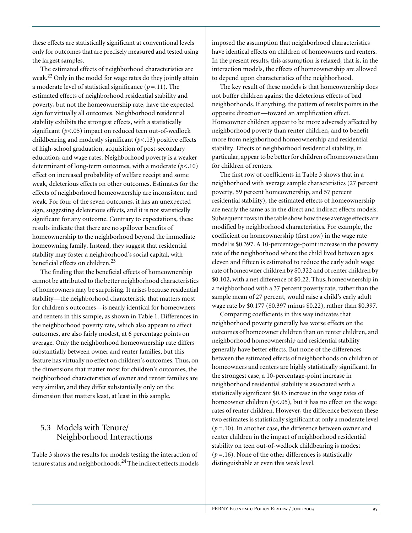these effects are statistically significant at conventional levels only for outcomes that are precisely measured and tested using the largest samples.

The estimated effects of neighborhood characteristics are weak.22 Only in the model for wage rates do they jointly attain a moderate level of statistical significance  $(p=11)$ . The estimated effects of neighborhood residential stability and poverty, but not the homeownership rate, have the expected sign for virtually all outcomes. Neighborhood residential stability exhibits the strongest effects, with a statistically significant (*p*<.05) impact on reduced teen out-of-wedlock childbearing and modestly significant (*p*<.13) positive effects of high-school graduation, acquisition of post-secondary education, and wage rates. Neighborhood poverty is a weaker determinant of long-term outcomes, with a moderate (*p*<.10) effect on increased probability of welfare receipt and some weak, deleterious effects on other outcomes. Estimates for the effects of neighborhood homeownership are inconsistent and weak. For four of the seven outcomes, it has an unexpected sign, suggesting deleterious effects, and it is not statistically significant for any outcome. Contrary to expectations, these results indicate that there are no spillover benefits of homeownership to the neighborhood beyond the immediate homeowning family. Instead, they suggest that residential stability may foster a neighborhood's social capital, with beneficial effects on children.<sup>23</sup>

The finding that the beneficial effects of homeownership cannot be attributed to the better neighborhood characteristics of homeowners may be surprising. It arises because residential stability—the neighborhood characteristic that matters most for children's outcomes—is nearly identical for homeowners and renters in this sample, as shown in Table 1. Differences in the neighborhood poverty rate, which also appears to affect outcomes, are also fairly modest, at 6 percentage points on average. Only the neighborhood homeownership rate differs substantially between owner and renter families, but this feature has virtually no effect on children's outcomes. Thus, on the dimensions that matter most for children's outcomes, the neighborhood characteristics of owner and renter families are very similar, and they differ substantially only on the dimension that matters least, at least in this sample.

# 5.3 Models with Tenure/ Neighborhood Interactions

Table 3 shows the results for models testing the interaction of tenure status and neighborhoods.<sup>24</sup> The indirect effects models imposed the assumption that neighborhood characteristics have identical effects on children of homeowners and renters. In the present results, this assumption is relaxed; that is, in the interaction models, the effects of homeownership are allowed to depend upon characteristics of the neighborhood.

The key result of these models is that homeownership does not buffer children against the deleterious effects of bad neighborhoods. If anything, the pattern of results points in the opposite direction—toward an amplification effect. Homeowner children appear to be more adversely affected by neighborhood poverty than renter children, and to benefit more from neighborhood homeownership and residential stability. Effects of neighborhood residential stability, in particular, appear to be better for children of homeowners than for children of renters.

The first row of coefficients in Table 3 shows that in a neighborhood with average sample characteristics (27 percent poverty, 59 percent homeownership, and 57 percent residential stability), the estimated effects of homeownership are nearly the same as in the direct and indirect effects models. Subsequent rows in the table show how these average effects are modified by neighborhood characteristics. For example, the coefficient on homeownership (first row) in the wage rate model is \$0.397. A 10-percentage-point increase in the poverty rate of the neighborhood where the child lived between ages eleven and fifteen is estimated to reduce the early adult wage rate of homeowner children by \$0.322 and of renter children by \$0.102, with a net difference of \$0.22. Thus, homeownership in a neighborhood with a 37 percent poverty rate, rather than the sample mean of 27 percent, would raise a child's early adult wage rate by \$0.177 (\$0.397 minus \$0.22), rather than \$0.397.

Comparing coefficients in this way indicates that neighborhood poverty generally has worse effects on the outcomes of homeowner children than on renter children, and neighborhood homeownership and residential stability generally have better effects. But none of the differences between the estimated effects of neighborhoods on children of homeowners and renters are highly statistically significant. In the strongest case, a 10-percentage-point increase in neighborhood residential stability is associated with a statistically significant \$0.43 increase in the wage rates of homeowner children (*p*<.05), but it has no effect on the wage rates of renter children. However, the difference between these two estimates is statistically significant at only a moderate level  $(p=10)$ . In another case, the difference between owner and renter children in the impact of neighborhood residential stability on teen out-of-wedlock childbearing is modest  $(p=16)$ . None of the other differences is statistically distinguishable at even this weak level.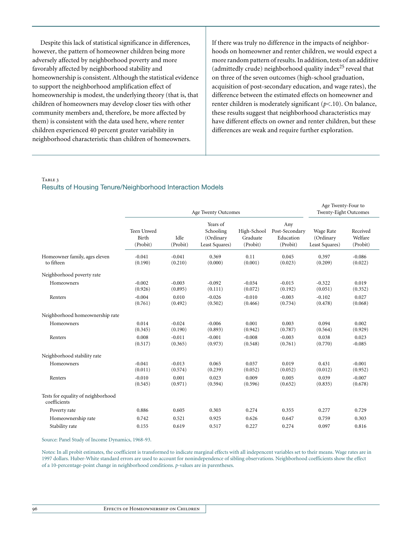Despite this lack of statistical significance in differences, however, the pattern of homeowner children being more adversely affected by neighborhood poverty and more favorably affected by neighborhood stability and homeownership is consistent. Although the statistical evidence to support the neighborhood amplification effect of homeownership is modest, the underlying theory (that is, that children of homeowners may develop closer ties with other community members and, therefore, be more affected by them) is consistent with the data used here, where renter children experienced 40 percent greater variability in neighborhood characteristic than children of homeowners.

If there was truly no difference in the impacts of neighborhoods on homeowner and renter children, we would expect a more random pattern of results. In addition, tests of an additive (admittedly crude) neighborhood quality index $^{25}$  reveal that on three of the seven outcomes (high-school graduation, acquisition of post-secondary education, and wage rates), the difference between the estimated effects on homeowner and renter children is moderately significant (*p*<.10). On balance, these results suggest that neighborhood characteristics may have different effects on owner and renter children, but these differences are weak and require further exploration.

TABLE 3

## Results of Housing Tenure/Neighborhood Interaction Models

|                                                    | Age Twenty Outcomes             |                     |                                                      |                                     |                                                | Age Twenty-Four to<br>Twenty-Eight Outcomes |                                 |
|----------------------------------------------------|---------------------------------|---------------------|------------------------------------------------------|-------------------------------------|------------------------------------------------|---------------------------------------------|---------------------------------|
|                                                    | Teen Unwed<br>Birth<br>(Probit) | Idle<br>(Probit)    | Years of<br>Schooling<br>(Ordinary<br>Least Squares) | High-School<br>Graduate<br>(Probit) | Any<br>Post-Secondary<br>Education<br>(Probit) | Wage Rate<br>(Ordinary<br>Least Squares)    | Received<br>Welfare<br>(Probit) |
| Homeowner family, ages eleven<br>to fifteen        | $-0.041$<br>(0.190)             | $-0.041$<br>(0.210) | 0.369<br>(0.000)                                     | 0.11<br>(0.001)                     | 0.045<br>(0.023)                               | 0.397<br>(0.209)                            | $-0.086$<br>(0.022)             |
| Neighborhood poverty rate                          |                                 |                     |                                                      |                                     |                                                |                                             |                                 |
| Homeowners                                         | $-0.002$<br>(0.926)             | $-0.003$<br>(0.895) | $-0.092$<br>(0.111)                                  | $-0.034$<br>(0.072)                 | $-0.015$<br>(0.192)                            | $-0.322$<br>(0.051)                         | 0.019<br>(0.352)                |
| Renters                                            | $-0.004$<br>(0.761)             | 0.010<br>(0.492)    | $-0.026$<br>(0.502)                                  | $-0.010$<br>(0.466)                 | $-0.003$<br>(0.734)                            | $-0.102$<br>(0.478)                         | 0.027<br>(0.068)                |
| Neighborhood homeownership rate                    |                                 |                     |                                                      |                                     |                                                |                                             |                                 |
| Homeowners                                         | 0.014<br>(0.345)                | $-0.024$<br>(0.190) | $-0.006$<br>(0.893)                                  | 0.001<br>(0.942)                    | 0.003<br>(0.787)                               | 0.094<br>(0.564)                            | 0.002<br>(0.929)                |
| Renters                                            | 0.008<br>(0.517)                | $-0.011$<br>(0.365) | $-0.001$<br>(0.973)                                  | $-0.008$<br>(0.548)                 | $-0.003$<br>(0.761)                            | 0.038<br>(0.770)                            | 0.023<br>$-0.085$               |
| Neighborhood stability rate                        |                                 |                     |                                                      |                                     |                                                |                                             |                                 |
| Homeowners                                         | $-0.041$<br>(0.011)             | $-0.013$<br>(0.574) | 0.065<br>(0.239)                                     | 0.037<br>(0.052)                    | 0.019<br>(0.052)                               | 0.431<br>(0.012)                            | $-0.001$<br>(0.952)             |
| Renters                                            | $-0.010$<br>(0.545)             | 0.001<br>(0.971)    | 0.023<br>(0.594)                                     | 0.009<br>(0.596)                    | 0.005<br>(0.652)                               | 0.039<br>(0.835)                            | $-0.007$<br>(0.678)             |
| Tests for equality of neighborhood<br>coefficients |                                 |                     |                                                      |                                     |                                                |                                             |                                 |
| Poverty rate                                       | 0.886                           | 0.605               | 0.303                                                | 0.274                               | 0.355                                          | 0.277                                       | 0.729                           |
| Homeownership rate                                 | 0.742                           | 0.521               | 0.925                                                | 0.626                               | 0.647                                          | 0.759                                       | 0.303                           |
| Stability rate                                     | 0.155                           | 0.619               | 0.517                                                | 0.227                               | 0.274                                          | 0.097                                       | 0.816                           |

#### Source: Panel Study of Income Dynamics, 1968-93.

Notes: In all probit estimates, the coefficient is transformed to indicate marginal effects with all indepencent variables set to their means. Wage rates are in 1997 dollars. Huber-White standard errors are used to account for nonindependence of sibling observations. Neighborhood coefficients show the effect of a 10-percentage-point change in neighborhood conditions. *p*-values are in parentheses.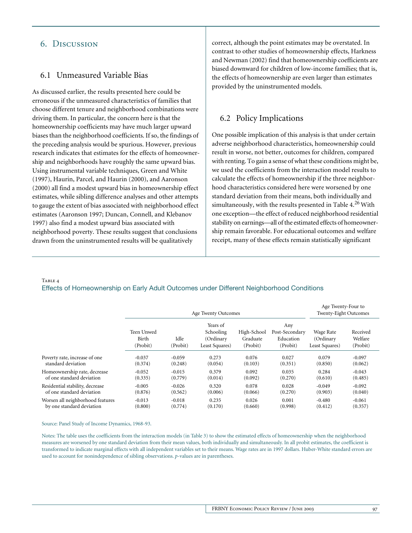## 6. Discussion

## 6.1 Unmeasured Variable Bias

As discussed earlier, the results presented here could be erroneous if the unmeasured characteristics of families that choose different tenure and neighborhood combinations were driving them. In particular, the concern here is that the homeownership coefficients may have much larger upward biases than the neighborhood coefficients. If so, the findings of the preceding analysis would be spurious. However, previous research indicates that estimates for the effects of homeownership and neighborhoods have roughly the same upward bias. Using instrumental variable techniques, Green and White (1997), Haurin, Parcel, and Haurin (2000), and Aaronson (2000) all find a modest upward bias in homeownership effect estimates, while sibling difference analyses and other attempts to gauge the extent of bias associated with neighborhood effect estimates (Aaronson 1997; Duncan, Connell, and Klebanov 1997) also find a modest upward bias associated with neighborhood poverty. These results suggest that conclusions drawn from the uninstrumented results will be qualitatively

correct, although the point estimates may be overstated. In contrast to other studies of homeownership effects, Harkness and Newman (2002) find that homeownership coefficients are biased downward for children of low-income families; that is, the effects of homeownership are even larger than estimates provided by the uninstrumented models.

## 6.2 Policy Implications

One possible implication of this analysis is that under certain adverse neighborhood characteristics, homeownership could result in worse, not better, outcomes for children, compared with renting. To gain a sense of what these conditions might be, we used the coefficients from the interaction model results to calculate the effects of homeownership if the three neighborhood characteristics considered here were worsened by one standard deviation from their means, both individually and simultaneously, with the results presented in Table  $4^{26}$  With one exception—the effect of reduced neighborhood residential stability on earnings—all of the estimated effects of homeownership remain favorable. For educational outcomes and welfare receipt, many of these effects remain statistically significant

TABLE 4

## Effects of Homeownership on Early Adult Outcomes under Different Neighborhood Conditions

|                                  | Age Twenty Outcomes             |                  |                                                      |                                     |                                                | Age Twenty-Four to<br><b>Twenty-Eight Outcomes</b> |                                 |  |
|----------------------------------|---------------------------------|------------------|------------------------------------------------------|-------------------------------------|------------------------------------------------|----------------------------------------------------|---------------------------------|--|
|                                  | Teen Unwed<br>Birth<br>(Probit) | Idle<br>(Probit) | Years of<br>Schooling<br>(Ordinary<br>Least Squares) | High-School<br>Graduate<br>(Probit) | Any<br>Post-Secondary<br>Education<br>(Probit) | Wage Rate<br>(Ordinary<br>Least Squares)           | Received<br>Welfare<br>(Probit) |  |
| Poverty rate, increase of one    | $-0.037$                        | $-0.059$         | 0.273                                                | 0.076                               | 0.027                                          | 0.079                                              | $-0.097$                        |  |
| standard deviation               | (0.374)                         | (0.248)          | (0.054)                                              | (0.103)                             | (0.351)                                        | (0.850)                                            | (0.062)                         |  |
| Homeownership rate, decrease     | $-0.052$                        | $-0.015$         | 0.379                                                | 0.092                               | 0.035                                          | 0.284                                              | $-0.043$                        |  |
| of one standard deviation        | (0.335)                         | (0.779)          | (0.014)                                              | (0.092)                             | (0.270)                                        | (0.610)                                            | (0.485)                         |  |
| Residential stability, decrease  | $-0.005$                        | $-0.026$         | 0.320                                                | 0.078                               | 0.028                                          | $-0.049$                                           | $-0.092$                        |  |
| of one standard deviation        | (0.876)                         | (0.562)          | (0.006)                                              | (0.066)                             | (0.270)                                        | (0.903)                                            | (0.040)                         |  |
| Worsen all neighborhood features | $-0.013$                        | $-0.018$         | 0.235                                                | 0.026                               | 0.001                                          | $-0.480$                                           | $-0.061$                        |  |
| by one standard deviation        | (0.800)                         | (0.774)          | (0.170)                                              | (0.660)                             | (0.998)                                        | (0.412)                                            | (0.357)                         |  |

Source: Panel Study of Income Dynamics, 1968-93.

Notes: The table uses the coefficients from the interaction models (in Table 3) to show the estimated effects of homeownership when the neighborhood measures are worsened by one standard deviation from their mean values, both individually and simultaneously. In all probit estimates, the coefficient is transformed to indicate marginal effects with all independent variables set to their means. Wage rates are in 1997 dollars. Huber-White standard errors are used to account for nonindependence of sibling observations. *p*-values are in parentheses.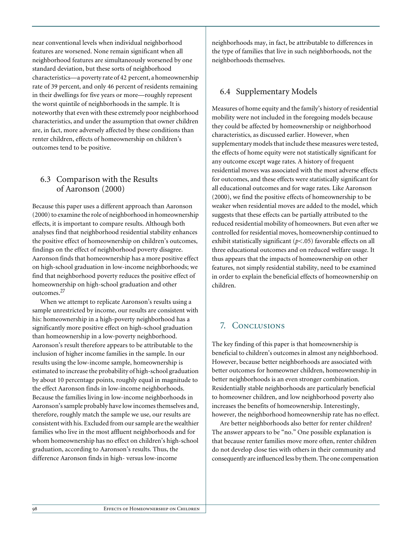near conventional levels when individual neighborhood features are worsened. None remain significant when all neighborhood features are simultaneously worsened by one standard deviation, but these sorts of neighborhood characteristics—a poverty rate of 42 percent, a homeownership rate of 39 percent, and only 46 percent of residents remaining in their dwellings for five years or more—roughly represent the worst quintile of neighborhoods in the sample. It is noteworthy that even with these extremely poor neighborhood characteristics, and under the assumption that owner children are, in fact, more adversely affected by these conditions than renter children, effects of homeownership on children's outcomes tend to be positive.

# 6.3 Comparison with the Results of Aaronson (2000)

Because this paper uses a different approach than Aaronson (2000) to examine the role of neighborhood in homeownership effects, it is important to compare results. Although both analyses find that neighborhood residential stability enhances the positive effect of homeownership on children's outcomes, findings on the effect of neighborhood poverty disagree. Aaronson finds that homeownership has a more positive effect on high-school graduation in low-income neighborhoods; we find that neighborhood poverty reduces the positive effect of homeownership on high-school graduation and other outcomes.<sup>27</sup>

When we attempt to replicate Aaronson's results using a sample unrestricted by income, our results are consistent with his: homeownership in a high-poverty neighborhood has a significantly more positive effect on high-school graduation than homeownership in a low-poverty neighborhood. Aaronson's result therefore appears to be attributable to the inclusion of higher income families in the sample. In our results using the low-income sample, homeownership is estimated to increase the probability of high-school graduation by about 10 percentage points, roughly equal in magnitude to the effect Aaronson finds in low-income neighborhoods. Because the families living in low-income neighborhoods in Aaronson's sample probably have low incomes themselves and, therefore, roughly match the sample we use, our results are consistent with his. Excluded from our sample are the wealthier families who live in the most affluent neighborhoods and for whom homeownership has no effect on children's high-school graduation, according to Aaronson's results. Thus, the difference Aaronson finds in high- versus low-income

neighborhoods may, in fact, be attributable to differences in the type of families that live in such neighborhoods, not the neighborhoods themselves.

# 6.4 Supplementary Models

Measures of home equity and the family's history of residential mobility were not included in the foregoing models because they could be affected by homeownership or neighborhood characteristics, as discussed earlier. However, when supplementary models that include these measures were tested, the effects of home equity were not statistically significant for any outcome except wage rates. A history of frequent residential moves was associated with the most adverse effects for outcomes, and these effects were statistically significant for all educational outcomes and for wage rates. Like Aaronson (2000), we find the positive effects of homeownership to be weaker when residential moves are added to the model, which suggests that these effects can be partially attributed to the reduced residential mobility of homeowners. But even after we controlled for residential moves, homeownership continued to exhibit statistically significant (*p*<.05) favorable effects on all three educational outcomes and on reduced welfare usage. It thus appears that the impacts of homeownership on other features, not simply residential stability, need to be examined in order to explain the beneficial effects of homeownership on children.

# 7. Conclusions

The key finding of this paper is that homeownership is beneficial to children's outcomes in almost any neighborhood. However, because better neighborhoods are associated with better outcomes for homeowner children, homeownership in better neighborhoods is an even stronger combination. Residentially stable neighborhoods are particularly beneficial to homeowner children, and low neighborhood poverty also increases the benefits of homeownership. Interestingly, however, the neighborhood homeownership rate has no effect.

Are better neighborhoods also better for renter children? The answer appears to be "no." One possible explanation is that because renter families move more often, renter children do not develop close ties with others in their community and consequently are influenced less by them. The one compensation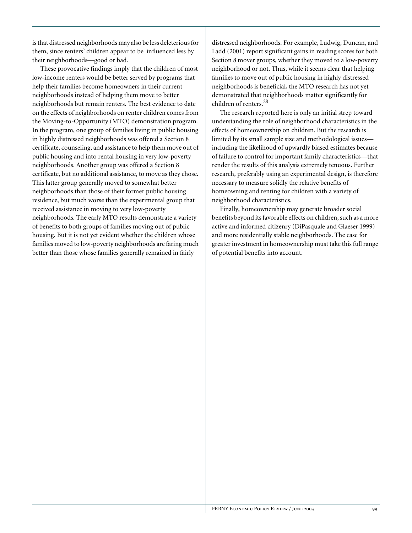is that distressed neighborhoods may also be less deleterious for them, since renters' children appear to be influenced less by their neighborhoods—good or bad.

These provocative findings imply that the children of most low-income renters would be better served by programs that help their families become homeowners in their current neighborhoods instead of helping them move to better neighborhoods but remain renters. The best evidence to date on the effects of neighborhoods on renter children comes from the Moving-to-Opportunity (MTO) demonstration program. In the program, one group of families living in public housing in highly distressed neighborhoods was offered a Section 8 certificate, counseling, and assistance to help them move out of public housing and into rental housing in very low-poverty neighborhoods. Another group was offered a Section 8 certificate, but no additional assistance, to move as they chose. This latter group generally moved to somewhat better neighborhoods than those of their former public housing residence, but much worse than the experimental group that received assistance in moving to very low-poverty neighborhoods. The early MTO results demonstrate a variety of benefits to both groups of families moving out of public housing. But it is not yet evident whether the children whose families moved to low-poverty neighborhoods are faring much better than those whose families generally remained in fairly

distressed neighborhoods. For example, Ludwig, Duncan, and Ladd (2001) report significant gains in reading scores for both Section 8 mover groups, whether they moved to a low-poverty neighborhood or not. Thus, while it seems clear that helping families to move out of public housing in highly distressed neighborhoods is beneficial, the MTO research has not yet demonstrated that neighborhoods matter significantly for children of renters.<sup>28</sup>

The research reported here is only an initial strep toward understanding the role of neighborhood characteristics in the effects of homeownership on children. But the research is limited by its small sample size and methodological issues including the likelihood of upwardly biased estimates because of failure to control for important family characteristics—that render the results of this analysis extremely tenuous. Further research, preferably using an experimental design, is therefore necessary to measure solidly the relative benefits of homeowning and renting for children with a variety of neighborhood characteristics.

Finally, homeownership may generate broader social benefits beyond its favorable effects on children, such as a more active and informed citizenry (DiPasquale and Glaeser 1999) and more residentially stable neighborhoods. The case for greater investment in homeownership must take this full range of potential benefits into account.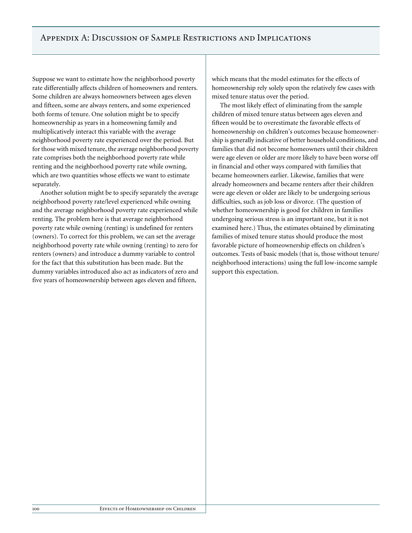Suppose we want to estimate how the neighborhood poverty rate differentially affects children of homeowners and renters. Some children are always homeowners between ages eleven and fifteen, some are always renters, and some experienced both forms of tenure. One solution might be to specify homeownership as years in a homeowning family and multiplicatively interact this variable with the average neighborhood poverty rate experienced over the period. But for those with mixed tenure, the average neighborhood poverty rate comprises both the neighborhood poverty rate while renting and the neighborhood poverty rate while owning, which are two quantities whose effects we want to estimate separately.

Another solution might be to specify separately the average neighborhood poverty rate/level experienced while owning and the average neighborhood poverty rate experienced while renting. The problem here is that average neighborhood poverty rate while owning (renting) is undefined for renters (owners). To correct for this problem, we can set the average neighborhood poverty rate while owning (renting) to zero for renters (owners) and introduce a dummy variable to control for the fact that this substitution has been made. But the dummy variables introduced also act as indicators of zero and five years of homeownership between ages eleven and fifteen,

which means that the model estimates for the effects of homeownership rely solely upon the relatively few cases with mixed tenure status over the period.

The most likely effect of eliminating from the sample children of mixed tenure status between ages eleven and fifteen would be to overestimate the favorable effects of homeownership on children's outcomes because homeownership is generally indicative of better household conditions, and families that did not become homeowners until their children were age eleven or older are more likely to have been worse off in financial and other ways compared with families that became homeowners earlier. Likewise, families that were already homeowners and became renters after their children were age eleven or older are likely to be undergoing serious difficulties, such as job loss or divorce. (The question of whether homeownership is good for children in families undergoing serious stress is an important one, but it is not examined here.) Thus, the estimates obtained by eliminating families of mixed tenure status should produce the most favorable picture of homeownership effects on children's outcomes. Tests of basic models (that is, those without tenure/ neighborhood interactions) using the full low-income sample support this expectation.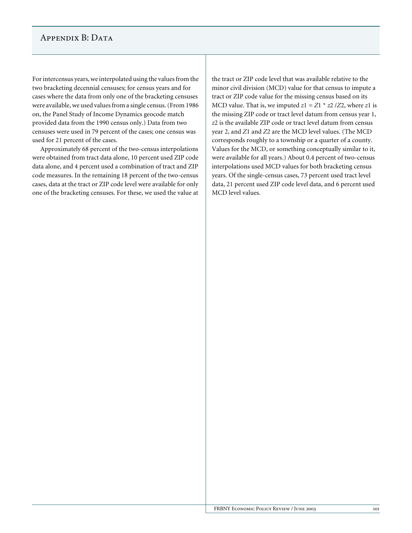# APPENDIX B: DATA

For intercensus years, we interpolated using the values from the two bracketing decennial censuses; for census years and for cases where the data from only one of the bracketing censuses were available, we used values from a single census. (From 1986 on, the Panel Study of Income Dynamics geocode match provided data from the 1990 census only.) Data from two censuses were used in 79 percent of the cases; one census was used for 21 percent of the cases.

Approximately 68 percent of the two-census interpolations were obtained from tract data alone, 10 percent used ZIP code data alone, and 4 percent used a combination of tract and ZIP code measures. In the remaining 18 percent of the two-census cases, data at the tract or ZIP code level were available for only one of the bracketing censuses. For these, we used the value at the tract or ZIP code level that was available relative to the minor civil division (MCD) value for that census to impute a tract or ZIP code value for the missing census based on its MCD value. That is, we imputed  $z1 = Z1 * z2 / Z2$ , where  $z1$  is the missing ZIP code or tract level datum from census year 1, *z*2 is the available ZIP code or tract level datum from census year 2, and *Z*1 and *Z*2 are the MCD level values. (The MCD corresponds roughly to a township or a quarter of a county. Values for the MCD, or something conceptually similar to it, were available for all years.) About 0.4 percent of two-census interpolations used MCD values for both bracketing census years. Of the single-census cases, 73 percent used tract level data, 21 percent used ZIP code level data, and 6 percent used MCD level values.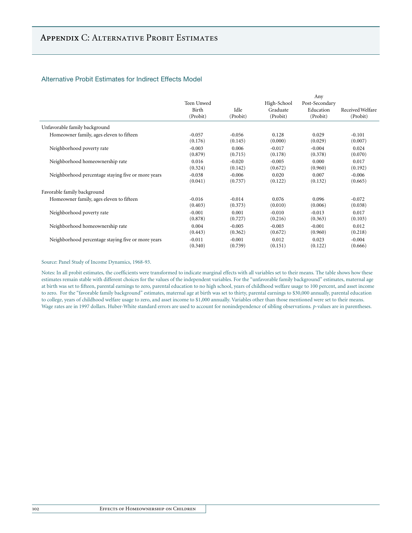## Alternative Probit Estimates for Indirect Effects Model

|                                                    |            |          |             | Any            |                  |
|----------------------------------------------------|------------|----------|-------------|----------------|------------------|
|                                                    | Teen Unwed |          | High-School | Post-Secondary |                  |
|                                                    | Birth      | Idle     | Graduate    | Education      | Received Welfare |
|                                                    | (Probit)   | (Probit) | (Probit)    | (Probit)       | (Probit)         |
| Unfavorable family background                      |            |          |             |                |                  |
| Homeowner family, ages eleven to fifteen           | $-0.057$   | $-0.056$ | 0.128       | 0.029          | $-0.101$         |
|                                                    | (0.176)    | (0.145)  | (0.000)     | (0.029)        | (0.007)          |
| Neighborhood poverty rate                          | $-0.003$   | 0.006    | $-0.017$    | $-0.004$       | 0.024            |
|                                                    | (0.879)    | (0.715)  | (0.178)     | (0.378)        | (0.070)          |
| Neighborhood homeownership rate                    | 0.016      | $-0.020$ | $-0.005$    | 0.000          | 0.017            |
|                                                    | (0.324)    | (0.142)  | (0.672)     | (0.960)        | (0.192)          |
| Neighborhood percentage staying five or more years | $-0.038$   | $-0.006$ | 0.020       | 0.007          | $-0.006$         |
|                                                    | (0.041)    | (0.737)  | (0.122)     | (0.132)        | (0.665)          |
| Favorable family background                        |            |          |             |                |                  |
| Homeowner family, ages eleven to fifteen           | $-0.016$   | $-0.014$ | 0.076       | 0.096          | $-0.072$         |
|                                                    | (0.403)    | (0.373)  | (0.010)     | (0.006)        | (0.038)          |
| Neighborhood poverty rate                          | $-0.001$   | 0.001    | $-0.010$    | $-0.013$       | 0.017            |
|                                                    | (0.878)    | (0.727)  | (0.216)     | (0.363)        | (0.103)          |
| Neighborhood homeownership rate                    | 0.004      | $-0.005$ | $-0.003$    | $-0.001$       | 0.012            |
|                                                    | (0.443)    | (0.362)  | (0.672)     | (0.960)        | (0.218)          |
| Neighborhood percentage staying five or more years | $-0.011$   | $-0.001$ | 0.012       | 0.023          | $-0.004$         |
|                                                    | (0.340)    | (0.739)  | (0.151)     | (0.122)        | (0.666)          |

#### Source: Panel Study of Income Dynamics, 1968-93.

Notes: In all probit estimates, the coefficients were transformed to indicate marginal effects with all variables set to their means. The table shows how these estimates remain stable with different choices for the values of the independent variables. For the "unfavorable family background" estimates, maternal age at birth was set to fifteen, parental earnings to zero, parental education to no high school, years of childhood welfare usage to 100 percent, and asset income to zero. For the "favorable family background" estimates, maternal age at birth was set to thirty, parental earnings to \$30,000 annually, parental education to college, years of childhood welfare usage to zero, and asset income to \$1,000 annually. Variables other than those mentioned were set to their means. Wage rates are in 1997 dollars. Huber-White standard errors are used to account for nonindependence of sibling observations. *p*-values are in parentheses.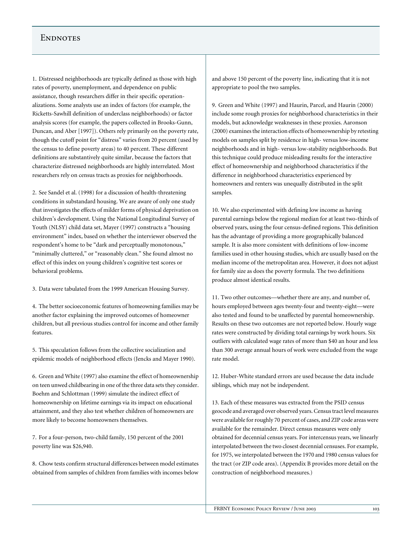## **ENDNOTES**

1. Distressed neighborhoods are typically defined as those with high rates of poverty, unemployment, and dependence on public assistance, though researchers differ in their specific operationalizations. Some analysts use an index of factors (for example, the Ricketts-Sawhill definition of underclass neighborhoods) or factor analysis scores (for example, the papers collected in Brooks-Gunn, Duncan, and Aber [1997]). Others rely primarily on the poverty rate, though the cutoff point for "distress" varies from 20 percent (used by the census to define poverty areas) to 40 percent. These different definitions are substantively quite similar, because the factors that characterize distressed neighborhoods are highly interrelated. Most researchers rely on census tracts as proxies for neighborhoods.

2. See Sandel et al. (1998) for a discussion of health-threatening conditions in substandard housing. We are aware of only one study that investigates the effects of milder forms of physical deprivation on children's development. Using the National Longitudinal Survey of Youth (NLSY) child data set, Mayer (1997) constructs a "housing environment" index, based on whether the interviewer observed the respondent's home to be "dark and perceptually monotonous," "minimally cluttered," or "reasonably clean." She found almost no effect of this index on young children's cognitive test scores or behavioral problems.

3. Data were tabulated from the 1999 American Housing Survey.

4. The better socioeconomic features of homeowning families may be another factor explaining the improved outcomes of homeowner children, but all previous studies control for income and other family features.

5. This speculation follows from the collective socialization and epidemic models of neighborhood effects (Jencks and Mayer 1990).

6. Green and White (1997) also examine the effect of homeownership on teen unwed childbearing in one of the three data sets they consider. Boehm and Schlottman (1999) simulate the indirect effect of homeownership on lifetime earnings via its impact on educational attainment, and they also test whether children of homeowners are more likely to become homeowners themselves.

7. For a four-person, two-child family, 150 percent of the 2001 poverty line was \$26,940.

8. Chow tests confirm structural differences between model estimates obtained from samples of children from families with incomes below and above 150 percent of the poverty line, indicating that it is not appropriate to pool the two samples.

9. Green and White (1997) and Haurin, Parcel, and Haurin (2000) include some rough proxies for neighborhood characteristics in their models, but acknowledge weaknesses in these proxies. Aaronson (2000) examines the interaction effects of homeownership by retesting models on samples split by residence in high- versus low-income neighborhoods and in high- versus low-stability neighborhoods. But this technique could produce misleading results for the interactive effect of homeownership and neighborhood characteristics if the difference in neighborhood characteristics experienced by homeowners and renters was unequally distributed in the split samples.

10. We also experimented with defining low income as having parental earnings below the regional median for at least two-thirds of observed years, using the four census-defined regions. This definition has the advantage of providing a more geographically balanced sample. It is also more consistent with definitions of low-income families used in other housing studies, which are usually based on the median income of the metropolitan area. However, it does not adjust for family size as does the poverty formula. The two definitions produce almost identical results.

11. Two other outcomes—whether there are any, and number of, hours employed between ages twenty-four and twenty-eight—were also tested and found to be unaffected by parental homeownership. Results on these two outcomes are not reported below. Hourly wage rates were constructed by dividing total earnings by work hours. Six outliers with calculated wage rates of more than \$40 an hour and less than 300 average annual hours of work were excluded from the wage rate model.

12. Huber-White standard errors are used because the data include siblings, which may not be independent.

13. Each of these measures was extracted from the PSID census geocode and averaged over observed years. Census tract level measures were available for roughly 70 percent of cases, and ZIP code areas were available for the remainder. Direct census measures were only obtained for decennial census years. For intercensus years, we linearly interpolated between the two closest decennial censuses. For example, for 1975, we interpolated between the 1970 and 1980 census values for the tract (or ZIP code area). (Appendix B provides more detail on the construction of neighborhood measures.)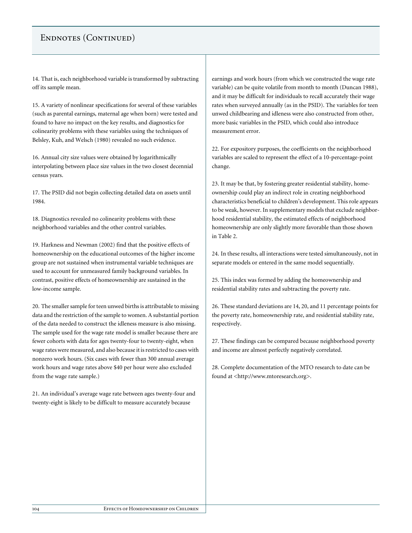# ENDNOTES (CONTINUED)

14. That is, each neighborhood variable is transformed by subtracting off its sample mean.

15. A variety of nonlinear specifications for several of these variables (such as parental earnings, maternal age when born) were tested and found to have no impact on the key results, and diagnostics for colinearity problems with these variables using the techniques of Belsley, Kuh, and Welsch (1980) revealed no such evidence.

16. Annual city size values were obtained by logarithmically interpolating between place size values in the two closest decennial census years.

17. The PSID did not begin collecting detailed data on assets until 1984.

18. Diagnostics revealed no colinearity problems with these neighborhood variables and the other control variables.

19. Harkness and Newman (2002) find that the positive effects of homeownership on the educational outcomes of the higher income group are not sustained when instrumental variable techniques are used to account for unmeasured family background variables. In contrast, positive effects of homeownership are sustained in the low-income sample.

20. The smaller sample for teen unwed births is attributable to missing data and the restriction of the sample to women. A substantial portion of the data needed to construct the idleness measure is also missing. The sample used for the wage rate model is smaller because there are fewer cohorts with data for ages twenty-four to twenty-eight, when wage rates were measured, and also because it is restricted to cases with nonzero work hours. (Six cases with fewer than 300 annual average work hours and wage rates above \$40 per hour were also excluded from the wage rate sample.)

21. An individual's average wage rate between ages twenty-four and twenty-eight is likely to be difficult to measure accurately because

earnings and work hours (from which we constructed the wage rate variable) can be quite volatile from month to month (Duncan 1988), and it may be difficult for individuals to recall accurately their wage rates when surveyed annually (as in the PSID). The variables for teen unwed childbearing and idleness were also constructed from other, more basic variables in the PSID, which could also introduce measurement error.

22. For expository purposes, the coefficients on the neighborhood variables are scaled to represent the effect of a 10-percentage-point change.

23. It may be that, by fostering greater residential stability, homeownership could play an indirect role in creating neighborhood characteristics beneficial to children's development. This role appears to be weak, however. In supplementary models that exclude neighborhood residential stability, the estimated effects of neighborhood homeownership are only slightly more favorable than those shown in Table 2.

24. In these results, all interactions were tested simultaneously, not in separate models or entered in the same model sequentially.

25. This index was formed by adding the homeownership and residential stability rates and subtracting the poverty rate.

26. These standard deviations are 14, 20, and 11 percentage points for the poverty rate, homeownership rate, and residential stability rate, respectively.

27. These findings can be compared because neighborhood poverty and income are almost perfectly negatively correlated.

28. Complete documentation of the MTO research to date can be found at <http://www.mtoresearch.org>.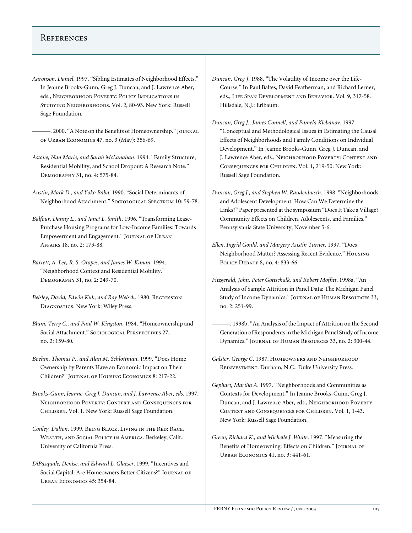## **REFERENCES**

- *Aaronson, Daniel*. 1997. "Sibling Estimates of Neighborhood Effects." In Jeanne Brooks-Gunn, Greg J. Duncan, and J. Lawrence Aber, eds., Neighborhood Poverty: Policy Implications in Studying Neighborhoods. Vol. 2, 80-93. New York: Russell Sage Foundation.
	- ———. 2000. "A Note on the Benefits of Homeownership." Journal of Urban Economics 47, no. 3 (May): 356-69.
- *Astone, Nan Marie, and Sarah McLanahan*. 1994. "Family Structure, Residential Mobility, and School Dropout: A Research Note." Demography 31, no. 4: 575-84.
- *Austin, Mark D., and Yoko Baba*. 1990. "Social Determinants of Neighborhood Attachment." Sociological Spectrum 10: 59-78.
- *Balfour, Danny L., and Janet L. Smith*. 1996. "Transforming Lease-Purchase Housing Programs for Low-Income Families: Towards Empowerment and Engagement." JOURNAL OF URBAN Affairs 18, no. 2: 173-88.
- *Barrett, A. Lee, R. S. Oropes, and James W. Kanan*. 1994. "Neighborhood Context and Residential Mobility." Demography 31, no. 2: 249-70.
- *Belsley, David, Edwin Kuh, and Roy Welsch*. 1980. Regression Diagnostics. New York: Wiley Press.
- *Blum, Terry C., and Paul W. Kingston*. 1984. "Homeownership and Social Attachment." Sociological Perspectives 27, no. 2: 159-80.
- *Boehm, Thomas P., and Alan M. Schlottman*. 1999. "Does Home Ownership by Parents Have an Economic Impact on Their Children?" Journal of Housing Economics 8: 217-22.
- *Brooks-Gunn, Jeanne, Greg J. Duncan, and J. Lawrence Aber, eds*. 1997. Neighborhood Poverty: Context and Consequences for Children. Vol. 1. New York: Russell Sage Foundation.
- *Conley, Dalton*. 1999. Being Black, Living in the Red: Race, Wealth, and Social Policy in America. Berkeley, Calif.: University of California Press.
- *DiPasquale, Denise, and Edward L. Glaeser*. 1999. "Incentives and Social Capital: Are Homeowners Better Citizens?" JOURNAL OF Urban Economics 45: 354-84.
- *Duncan, Greg J*. 1988. "The Volatility of Income over the Life-Course." In Paul Baltes, David Featherman, and Richard Lerner, eds., Life Span Development and Behavior. Vol. 9, 317-58. Hillsdale, N.J.: Erlbaum.
- *Duncan, Greg J., James Connell, and Pamela Klebanov*. 1997. "Conceptual and Methodological Issues in Estimating the Causal Effects of Neighborhoods and Family Conditions on Individual Development." In Jeanne Brooks-Gunn, Greg J. Duncan, and J. Lawrence Aber, eds., Neighborhood Poverty: Context and Consequences for Children. Vol. 1, 219-50. New York: Russell Sage Foundation.
- *Duncan, Greg J., and Stephen W. Raudenbusch*. 1998. "Neighborhoods and Adolescent Development: How Can We Determine the Links?" Paper presented at the symposium "Does It Take a Village? Community Effects on Children, Adolescents, and Families." Pennsylvania State University, November 5-6.
- *Ellen, Ingrid Gould, and Margery Austin Turner*. 1997. "Does Neighborhood Matter? Assessing Recent Evidence." Housing Policy Debate 8, no. 4: 833-66.
- *Fitzgerald, John, Peter Gottschalk, and Robert Moffitt*. 1998a. "An Analysis of Sample Attrition in Panel Data: The Michigan Panel Study of Income Dynamics." Journal of Human Resources 33, no. 2: 251-99.
- ———. 1998b. "An Analysis of the Impact of Attrition on the Second Generation of Respondents in the Michigan Panel Study of Income Dynamics." Journal of Human Resources 33, no. 2: 300-44.
- Galster, George C. 1987. HOMEOWNERS AND NEIGHBORHOOD Reinvestment. Durham, N.C.: Duke University Press.
- *Gephart, Martha A*. 1997. "Neighborhoods and Communities as Contexts for Development." In Jeanne Brooks-Gunn, Greg J. Duncan, and J. Lawrence Aber, eds., Neighborhood Poverty: Context and Consequences for Children. Vol. 1, 1-43. New York: Russell Sage Foundation.
- *Green, Richard K., and Michelle J. White*. 1997. "Measuring the Benefits of Homeowning: Effects on Children." JOURNAL OF Urban Economics 41, no. 3: 441-61.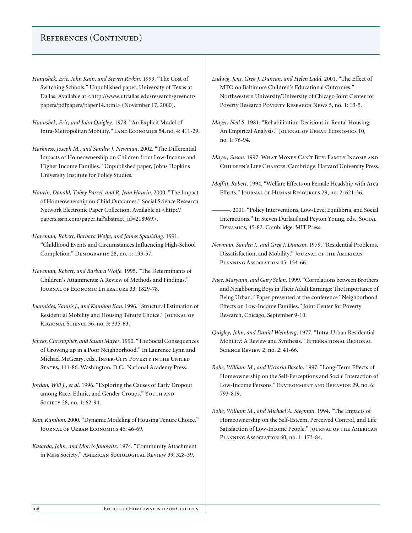# References (Continued)

- *Hanushek, Eric, John Kain, and Steven Rivkin*. 1999. "The Cost of Switching Schools." Unpublished paper, University of Texas at Dallas. Available at <http://www.utdallas.edu/research/greenctr/ papers/pdfpapers/paper14.html> (November 17, 2000).
- *Hanushek, Eric, and John Quigley*. 1978. "An Explicit Model of Intra-Metropolitan Mobility." LAND ECONOMICS 54, no. 4: 411-29.
- *Harkness, Joseph M., and Sandra J. Newman*. 2002. "The Differential Impacts of Homeownership on Children from Low-Income and Higher Income Families." Unpublished paper, Johns Hopkins University Institute for Policy Studies.
- *Haurin, Donald, Tobey Parcel, and R. Jean Haurin*. 2000. "The Impact of Homeownership on Child Outcomes." Social Science Research Network Electronic Paper Collection. Available at <http:// papers.ssrn.com/paper.taf?abstract\_id=218969>.
- *Haveman, Robert, Barbara Wolfe, and James Spaulding*. 1991. "Childhood Events and Circumstances Influencing High-School Completion." Demography 28, no. 1: 133-57.
- *Haveman, Robert, and Barbara Wolfe*. 1995. "The Determinants of Children's Attainments: A Review of Methods and Findings." Journal of Economic Literature 33: 1829-78.
- *Ioannides, Yannis J., and Kamhon Kan*. 1996. "Structural Estimation of Residential Mobility and Housing Tenure Choice." JOURNAL OF Regional Science 36, no. 3: 335-63.
- *Jencks, Christopher, and Susan Mayer*. 1990. "The Social Consequences of Growing up in a Poor Neighborhood." In Laurence Lynn and Michael McGeary, eds., INNER-CITY POVERTY IN THE UNITED STATES, 111-86. Washington, D.C.: National Academy Press.
- *Jordan, Will J., et al*. 1996. "Exploring the Causes of Early Dropout among Race, Ethnic, and Gender Groups." YOUTH AND SOCIETY 28, no. 1: 62-94.
- *Kan, Kamhon*. 2000. "Dynamic Modeling of Housing Tenure Choice." Journal of Urban Economics 46: 46-69.
- *Kasarda, John, and Morris Janowitz*. 1974. "Community Attachment in Mass Society." American Sociological Review 39: 328-39.
- *Ludwig, Jens, Greg J. Duncan, and Helen Ladd*. 2001. "The Effect of MTO on Baltimore Children's Educational Outcomes." Northwestern University/University of Chicago Joint Center for Poverty Research Poverty Research News 5, no. 1: 13-5.
- *Mayer, Neil S*. 1981. "Rehabilitation Decisions in Rental Housing: An Empirical Analysis." JOURNAL OF URBAN ECONOMICS 10, no. 1: 76-94.
- *Mayer, Susan*. 1997. What Money Can't Buy: Family Income and Children's Life Chances. Cambridge: Harvard University Press.
- *Moffitt, Robert*. 1994. "Welfare Effects on Female Headship with Area Effects." Journal of Human Resources 29, no. 2: 621-36.
	- ———. 2001. "Policy Interventions, Low-Level Equilibria, and Social Interactions." In Steven Durlauf and Peyton Young, eds., Social Dynamics, 45-82. Cambridge: MIT Press.
- *Newman, Sandra J., and Greg J. Duncan*. 1979. "Residential Problems, Dissatisfaction, and Mobility." Journal of the American PLANNING Association 45: 154-66.
- *Page, Maryann, and Gary Solon*. 1999. "Correlations between Brothers and Neighboring Boys in Their Adult Earnings: The Importance of Being Urban." Paper presented at the conference "Neighborhood Effects on Low-Income Families." Joint Center for Poverty Research, Chicago, September 9-10.
- *Quigley, John, and Daniel Weinberg*. 1977. "Intra-Urban Residential Mobility: A Review and Synthesis." International Regional Science Review 2, no. 2: 41-66.
- *Rohe, William M., and Victoria Basolo*. 1997. "Long-Term Effects of Homeownership on the Self-Perceptions and Social Interaction of Low-Income Persons." Environment and Behavior 29, no. 6: 793-819.
- *Rohe, William M., and Michael A. Stegman*. 1994. "The Impacts of Homeownership on the Self-Esteem, Perceived Control, and Life Satisfaction of Low-Income People." JOURNAL OF THE AMERICAN PLANNING ASSOCIATION 60, no. 1: 173-84.